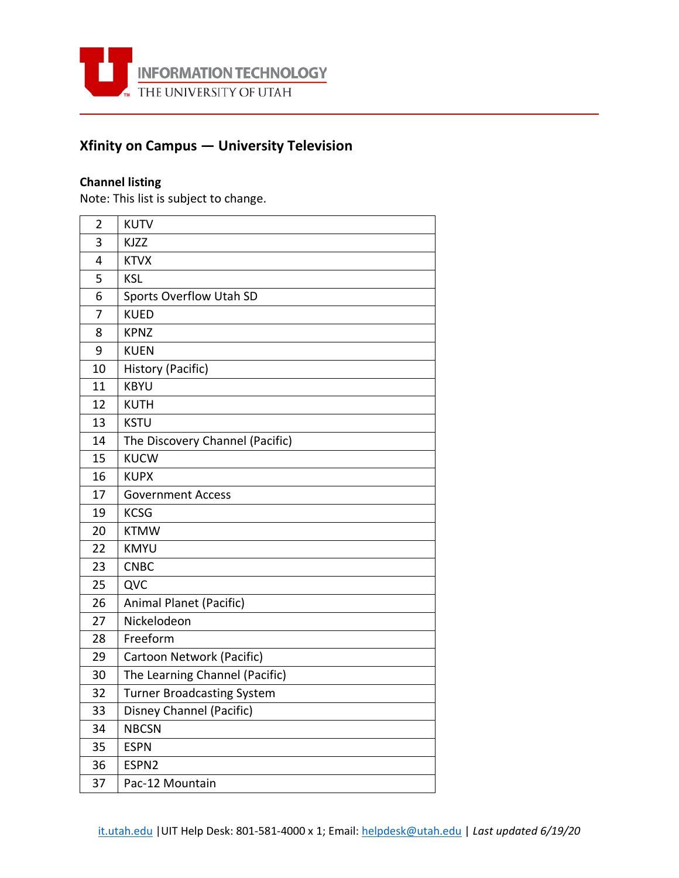

## **Xfinity on Campus — University Television**

## **Channel listing**

Note: This list is subject to change.

| $\overline{2}$ | <b>KUTV</b>                       |
|----------------|-----------------------------------|
| 3              | <b>KJZZ</b>                       |
| 4              | <b>KTVX</b>                       |
| 5              | <b>KSL</b>                        |
| 6              | Sports Overflow Utah SD           |
| 7              | <b>KUED</b>                       |
| 8              | <b>KPNZ</b>                       |
| 9              | <b>KUEN</b>                       |
| 10             | History (Pacific)                 |
| 11             | <b>KBYU</b>                       |
| 12             | <b>KUTH</b>                       |
| 13             | <b>KSTU</b>                       |
| 14             | The Discovery Channel (Pacific)   |
| 15             | <b>KUCW</b>                       |
| 16             | <b>KUPX</b>                       |
| 17             | <b>Government Access</b>          |
| 19             | <b>KCSG</b>                       |
| 20             | <b>KTMW</b>                       |
| 22             | <b>KMYU</b>                       |
| 23             | <b>CNBC</b>                       |
| 25             | QVC                               |
| 26             | Animal Planet (Pacific)           |
| 27             | Nickelodeon                       |
| 28             | Freeform                          |
| 29             | Cartoon Network (Pacific)         |
| 30             | The Learning Channel (Pacific)    |
| 32             | <b>Turner Broadcasting System</b> |
| 33             | Disney Channel (Pacific)          |
| 34             | <b>NBCSN</b>                      |
| 35             | <b>ESPN</b>                       |
| 36             | ESPN2                             |
| 37             | Pac-12 Mountain                   |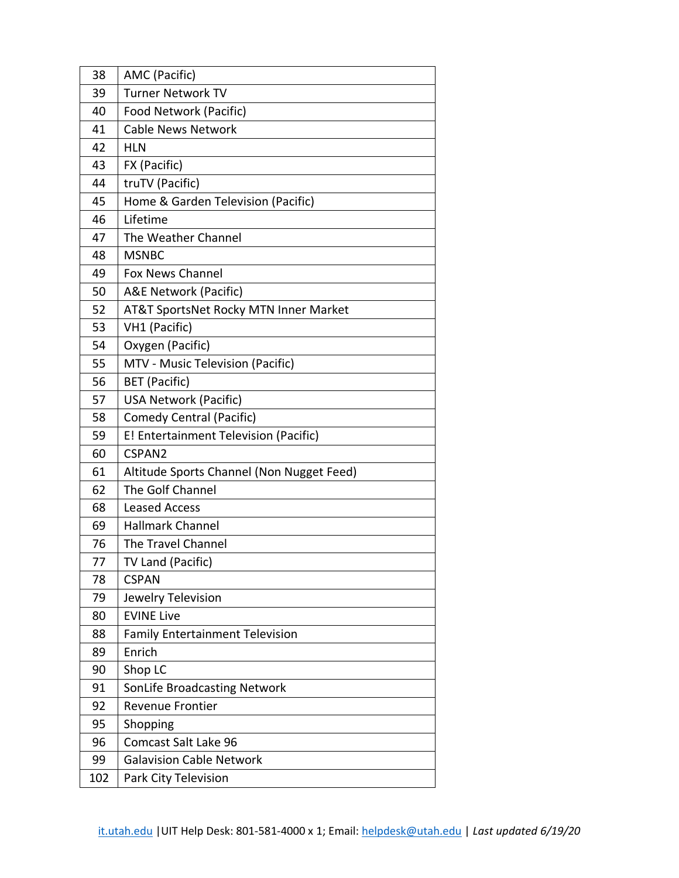| 38  | AMC (Pacific)                             |
|-----|-------------------------------------------|
| 39  | <b>Turner Network TV</b>                  |
| 40  | Food Network (Pacific)                    |
| 41  | <b>Cable News Network</b>                 |
| 42  | <b>HLN</b>                                |
| 43  | FX (Pacific)                              |
| 44  | truTV (Pacific)                           |
| 45  | Home & Garden Television (Pacific)        |
| 46  | Lifetime                                  |
| 47  | The Weather Channel                       |
| 48  | <b>MSNBC</b>                              |
| 49  | <b>Fox News Channel</b>                   |
| 50  | A&E Network (Pacific)                     |
| 52  | AT&T SportsNet Rocky MTN Inner Market     |
| 53  | VH1 (Pacific)                             |
| 54  | Oxygen (Pacific)                          |
| 55  | MTV - Music Television (Pacific)          |
| 56  | <b>BET</b> (Pacific)                      |
| 57  | <b>USA Network (Pacific)</b>              |
| 58  | Comedy Central (Pacific)                  |
| 59  | E! Entertainment Television (Pacific)     |
| 60  | CSPAN2                                    |
| 61  | Altitude Sports Channel (Non Nugget Feed) |
| 62  | The Golf Channel                          |
| 68  | <b>Leased Access</b>                      |
| 69  | <b>Hallmark Channel</b>                   |
| 76  | The Travel Channel                        |
| 77  | TV Land (Pacific)                         |
| 78  | <b>CSPAN</b>                              |
| 79  | Jewelry Television                        |
| 80  | <b>EVINE Live</b>                         |
| 88  | <b>Family Entertainment Television</b>    |
| 89  | Enrich                                    |
| 90  | Shop LC                                   |
| 91  | SonLife Broadcasting Network              |
| 92  | <b>Revenue Frontier</b>                   |
| 95  | Shopping                                  |
| 96  | Comcast Salt Lake 96                      |
| 99  | <b>Galavision Cable Network</b>           |
| 102 | Park City Television                      |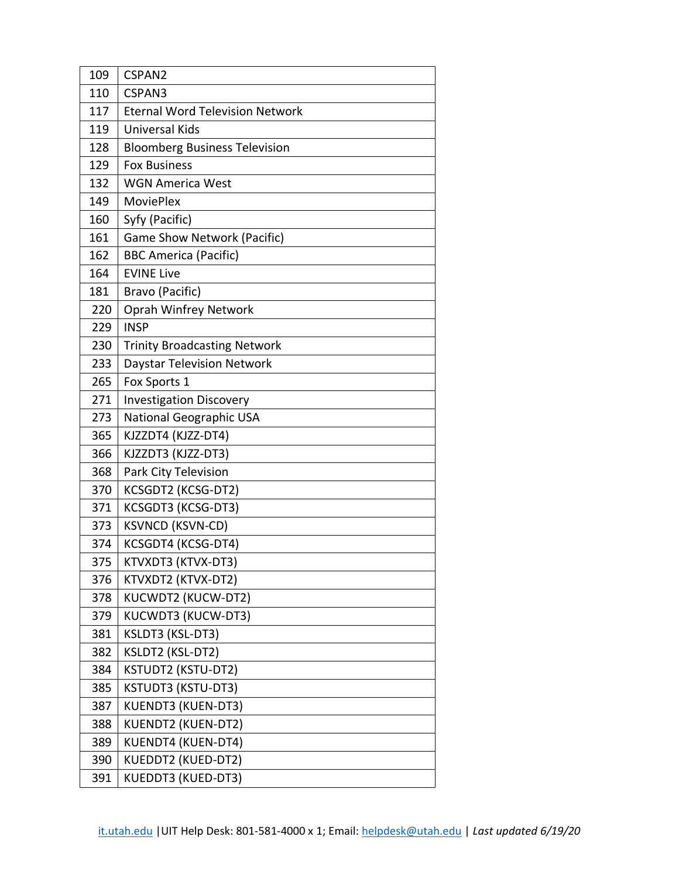| 109 | CSPAN2                                 |
|-----|----------------------------------------|
| 110 | CSPAN3                                 |
| 117 | <b>Eternal Word Television Network</b> |
| 119 | <b>Universal Kids</b>                  |
| 128 | <b>Bloomberg Business Television</b>   |
| 129 | <b>Fox Business</b>                    |
| 132 | <b>WGN America West</b>                |
| 149 | <b>MoviePlex</b>                       |
| 160 | Syfy (Pacific)                         |
| 161 | Game Show Network (Pacific)            |
| 162 | <b>BBC America (Pacific)</b>           |
| 164 | <b>EVINE Live</b>                      |
| 181 | Bravo (Pacific)                        |
| 220 | Oprah Winfrey Network                  |
| 229 | <b>INSP</b>                            |
| 230 | <b>Trinity Broadcasting Network</b>    |
| 233 | <b>Daystar Television Network</b>      |
| 265 | Fox Sports 1                           |
| 271 | <b>Investigation Discovery</b>         |
| 273 | National Geographic USA                |
| 365 | KJZZDT4 (KJZZ-DT4)                     |
| 366 | KJZZDT3 (KJZZ-DT3)                     |
| 368 | Park City Television                   |
| 370 | KCSGDT2 (KCSG-DT2)                     |
| 371 | KCSGDT3 (KCSG-DT3)                     |
| 373 | <b>KSVNCD (KSVN-CD)</b>                |
| 374 | KCSGDT4 (KCSG-DT4)                     |
| 375 | KTVXDT3 (KTVX-DT3)                     |
| 376 | KTVXDT2 (KTVX-DT2)                     |
| 378 | KUCWDT2 (KUCW-DT2)                     |
| 379 | KUCWDT3 (KUCW-DT3)                     |
| 381 | KSLDT3 (KSL-DT3)                       |
| 382 | KSLDT2 (KSL-DT2)                       |
| 384 | KSTUDT2 (KSTU-DT2)                     |
| 385 | KSTUDT3 (KSTU-DT3)                     |
| 387 | KUENDT3 (KUEN-DT3)                     |
| 388 | <b>KUENDT2 (KUEN-DT2)</b>              |
| 389 | KUENDT4 (KUEN-DT4)                     |
| 390 | KUEDDT2 (KUED-DT2)                     |
| 391 | KUEDDT3 (KUED-DT3)                     |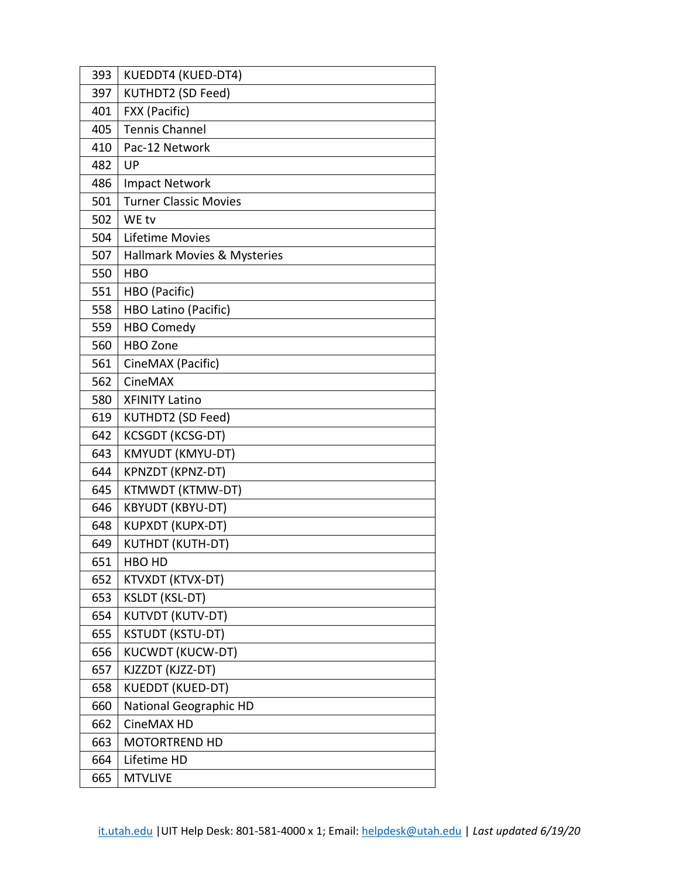| 393 | KUEDDT4 (KUED-DT4)            |
|-----|-------------------------------|
| 397 | KUTHDT2 (SD Feed)             |
| 401 | FXX (Pacific)                 |
| 405 | <b>Tennis Channel</b>         |
| 410 | Pac-12 Network                |
| 482 | UP                            |
| 486 | <b>Impact Network</b>         |
| 501 | <b>Turner Classic Movies</b>  |
| 502 | WE tv                         |
| 504 | Lifetime Movies               |
| 507 | Hallmark Movies & Mysteries   |
| 550 | <b>HBO</b>                    |
| 551 | HBO (Pacific)                 |
| 558 | HBO Latino (Pacific)          |
| 559 | <b>HBO Comedy</b>             |
| 560 | <b>HBO Zone</b>               |
| 561 | CineMAX (Pacific)             |
| 562 | CineMAX                       |
| 580 | <b>XFINITY Latino</b>         |
| 619 | KUTHDT2 (SD Feed)             |
| 642 | <b>KCSGDT (KCSG-DT)</b>       |
| 643 | KMYUDT (KMYU-DT)              |
| 644 | KPNZDT (KPNZ-DT)              |
| 645 | KTMWDT (KTMW-DT)              |
| 646 | <b>KBYUDT (KBYU-DT)</b>       |
| 648 | <b>KUPXDT (KUPX-DT)</b>       |
| 649 | <b>KUTHDT (KUTH-DT)</b>       |
| 651 | HBO HD                        |
| 652 | KTVXDT (KTVX-DT)              |
| 653 | <b>KSLDT (KSL-DT)</b>         |
| 654 | KUTVDT (KUTV-DT)              |
| 655 | <b>KSTUDT (KSTU-DT)</b>       |
| 656 | <b>KUCWDT (KUCW-DT)</b>       |
| 657 | KJZZDT (KJZZ-DT)              |
| 658 | <b>KUEDDT (KUED-DT)</b>       |
| 660 | <b>National Geographic HD</b> |
| 662 | CineMAX HD                    |
| 663 | <b>MOTORTREND HD</b>          |
| 664 | Lifetime HD                   |
| 665 | <b>MTVLIVE</b>                |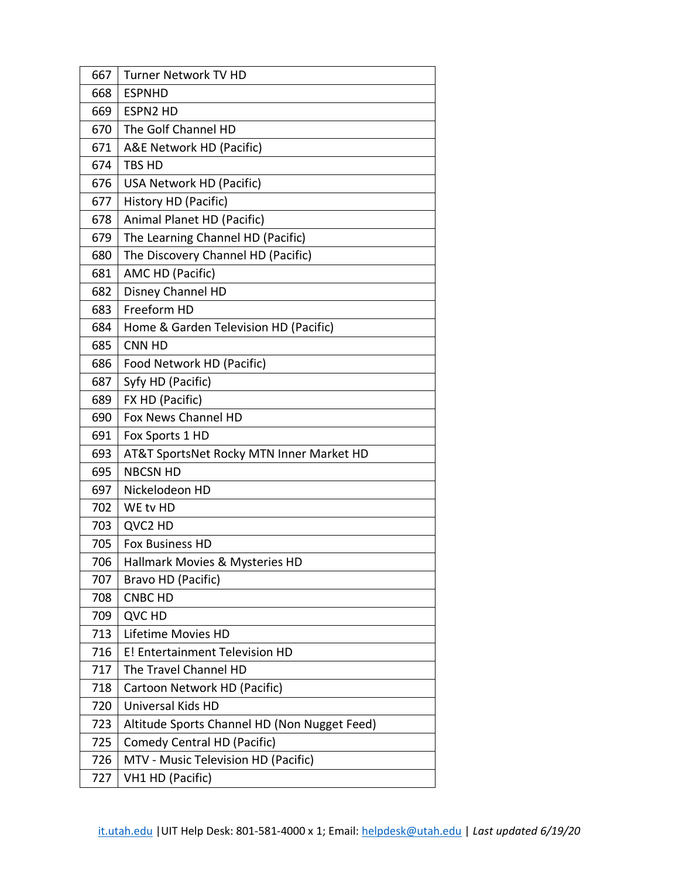| 667 | <b>Turner Network TV HD</b>                  |
|-----|----------------------------------------------|
| 668 | <b>ESPNHD</b>                                |
| 669 | <b>ESPN2 HD</b>                              |
| 670 | The Golf Channel HD                          |
| 671 | A&E Network HD (Pacific)                     |
| 674 | <b>TBS HD</b>                                |
| 676 | USA Network HD (Pacific)                     |
| 677 | History HD (Pacific)                         |
| 678 | Animal Planet HD (Pacific)                   |
| 679 | The Learning Channel HD (Pacific)            |
| 680 | The Discovery Channel HD (Pacific)           |
| 681 | AMC HD (Pacific)                             |
| 682 | Disney Channel HD                            |
| 683 | Freeform HD                                  |
| 684 | Home & Garden Television HD (Pacific)        |
| 685 | <b>CNN HD</b>                                |
| 686 | Food Network HD (Pacific)                    |
| 687 | Syfy HD (Pacific)                            |
| 689 | FX HD (Pacific)                              |
| 690 | Fox News Channel HD                          |
| 691 | Fox Sports 1 HD                              |
| 693 | AT&T SportsNet Rocky MTN Inner Market HD     |
| 695 | <b>NBCSN HD</b>                              |
| 697 | Nickelodeon HD                               |
| 702 | WE tv HD                                     |
| 703 | QVC2 HD                                      |
| 705 | <b>Fox Business HD</b>                       |
| 706 | Hallmark Movies & Mysteries HD               |
| 707 | Bravo HD (Pacific)                           |
| 708 | <b>CNBC HD</b>                               |
| 709 | QVC HD                                       |
| 713 | Lifetime Movies HD                           |
| 716 | E! Entertainment Television HD               |
| 717 | The Travel Channel HD                        |
| 718 | Cartoon Network HD (Pacific)                 |
| 720 | Universal Kids HD                            |
| 723 | Altitude Sports Channel HD (Non Nugget Feed) |
| 725 | Comedy Central HD (Pacific)                  |
| 726 | MTV - Music Television HD (Pacific)          |
| 727 | VH1 HD (Pacific)                             |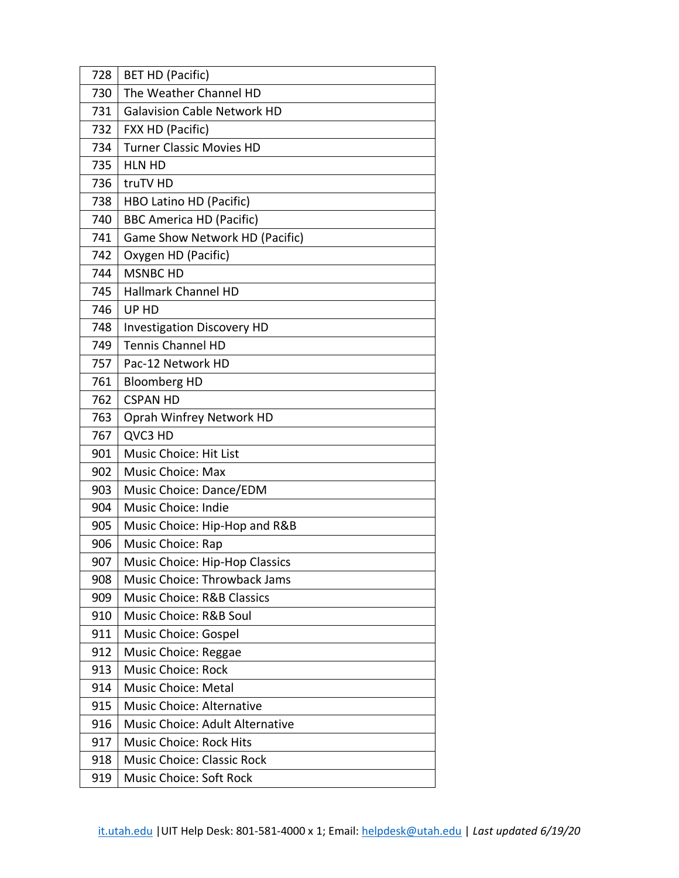| 728 | <b>BET HD (Pacific)</b>               |
|-----|---------------------------------------|
| 730 | The Weather Channel HD                |
| 731 | <b>Galavision Cable Network HD</b>    |
| 732 | FXX HD (Pacific)                      |
| 734 | <b>Turner Classic Movies HD</b>       |
| 735 | <b>HLN HD</b>                         |
| 736 | truTV HD                              |
| 738 | HBO Latino HD (Pacific)               |
| 740 | <b>BBC America HD (Pacific)</b>       |
| 741 | Game Show Network HD (Pacific)        |
| 742 | Oxygen HD (Pacific)                   |
| 744 | <b>MSNBC HD</b>                       |
| 745 | Hallmark Channel HD                   |
| 746 | UP HD                                 |
| 748 | <b>Investigation Discovery HD</b>     |
| 749 | <b>Tennis Channel HD</b>              |
| 757 | Pac-12 Network HD                     |
| 761 | <b>Bloomberg HD</b>                   |
| 762 | <b>CSPAN HD</b>                       |
| 763 | Oprah Winfrey Network HD              |
| 767 | QVC3 HD                               |
| 901 | <b>Music Choice: Hit List</b>         |
| 902 | <b>Music Choice: Max</b>              |
| 903 | Music Choice: Dance/EDM               |
| 904 | Music Choice: Indie                   |
| 905 | Music Choice: Hip-Hop and R&B         |
| 906 | Music Choice: Rap                     |
| 907 | Music Choice: Hip-Hop Classics        |
| 908 | Music Choice: Throwback Jams          |
| 909 | <b>Music Choice: R&amp;B Classics</b> |
| 910 | Music Choice: R&B Soul                |
| 911 | Music Choice: Gospel                  |
| 912 | Music Choice: Reggae                  |
| 913 | <b>Music Choice: Rock</b>             |
| 914 | <b>Music Choice: Metal</b>            |
| 915 | <b>Music Choice: Alternative</b>      |
| 916 | Music Choice: Adult Alternative       |
| 917 | <b>Music Choice: Rock Hits</b>        |
| 918 | <b>Music Choice: Classic Rock</b>     |
| 919 | Music Choice: Soft Rock               |